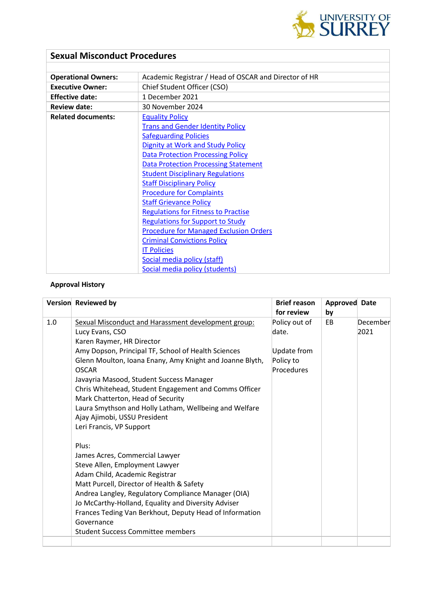

# **Sexual Misconduct Procedures**

| <b>Operational Owners:</b> | Academic Registrar / Head of OSCAR and Director of HR |  |  |
|----------------------------|-------------------------------------------------------|--|--|
| <b>Executive Owner:</b>    | Chief Student Officer (CSO)                           |  |  |
| <b>Effective date:</b>     | 1 December 2021                                       |  |  |
| <b>Review date:</b>        | 30 November 2024                                      |  |  |
| <b>Related documents:</b>  | <b>Equality Policy</b>                                |  |  |
|                            | <b>Trans and Gender Identity Policy</b>               |  |  |
|                            | <b>Safeguarding Policies</b>                          |  |  |
|                            | <b>Dignity at Work and Study Policy</b>               |  |  |
|                            | <b>Data Protection Processing Policy</b>              |  |  |
|                            | <b>Data Protection Processing Statement</b>           |  |  |
|                            | <b>Student Disciplinary Regulations</b>               |  |  |
|                            | <b>Staff Disciplinary Policy</b>                      |  |  |
|                            | <b>Procedure for Complaints</b>                       |  |  |
|                            | <b>Staff Grievance Policy</b>                         |  |  |
|                            | <b>Regulations for Fitness to Practise</b>            |  |  |
|                            | <b>Regulations for Support to Study</b>               |  |  |
|                            | <b>Procedure for Managed Exclusion Orders</b>         |  |  |
|                            | <b>Criminal Convictions Policy</b>                    |  |  |
|                            | <b>IT Policies</b>                                    |  |  |
|                            | Social media policy (staff)                           |  |  |
|                            | Social media policy (students)                        |  |  |

### **Approval History**

|     | Version Reviewed by                                                                                                                                                                                                                                                                                                                                                                                                                                                                                    | <b>Brief reason</b><br>for review                                | <b>Approved Date</b><br>by |                  |
|-----|--------------------------------------------------------------------------------------------------------------------------------------------------------------------------------------------------------------------------------------------------------------------------------------------------------------------------------------------------------------------------------------------------------------------------------------------------------------------------------------------------------|------------------------------------------------------------------|----------------------------|------------------|
| 1.0 | Sexual Misconduct and Harassment development group:<br>Lucy Evans, CSO<br>Karen Raymer, HR Director<br>Amy Dopson, Principal TF, School of Health Sciences<br>Glenn Moulton, Ioana Enany, Amy Knight and Joanne Blyth,<br><b>OSCAR</b><br>Javayria Masood, Student Success Manager<br>Chris Whitehead, Student Engagement and Comms Officer<br>Mark Chatterton, Head of Security<br>Laura Smythson and Holly Latham, Wellbeing and Welfare<br>Ajay Ajimobi, USSU President<br>Leri Francis, VP Support | Policy out of<br>date.<br>Update from<br>Policy to<br>Procedures | EB.                        | December<br>2021 |
|     | Plus:<br>James Acres, Commercial Lawyer<br>Steve Allen, Employment Lawyer<br>Adam Child, Academic Registrar<br>Matt Purcell, Director of Health & Safety<br>Andrea Langley, Regulatory Compliance Manager (OIA)<br>Jo McCarthy-Holland, Equality and Diversity Adviser<br>Frances Teding Van Berkhout, Deputy Head of Information<br>Governance<br><b>Student Success Committee members</b>                                                                                                            |                                                                  |                            |                  |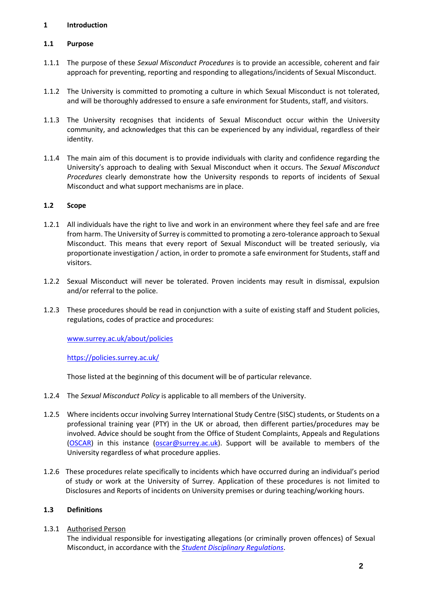# **1 Introduction**

# **1.1 Purpose**

- 1.1.1 The purpose of these *Sexual Misconduct Procedures* is to provide an accessible, coherent and fair approach for preventing, reporting and responding to allegations/incidents of Sexual Misconduct.
- 1.1.2 The University is committed to promoting a culture in which Sexual Misconduct is not tolerated, and will be thoroughly addressed to ensure a safe environment for Students, staff, and visitors.
- 1.1.3 The University recognises that incidents of Sexual Misconduct occur within the University community, and acknowledges that this can be experienced by any individual, regardless of their identity.
- 1.1.4 The main aim of this document is to provide individuals with clarity and confidence regarding the University's approach to dealing with Sexual Misconduct when it occurs. The *Sexual Misconduct Procedures* clearly demonstrate how the University responds to reports of incidents of Sexual Misconduct and what support mechanisms are in place.

#### **1.2 Scope**

- 1.2.1 All individuals have the right to live and work in an environment where they feel safe and are free from harm. The University of Surrey is committed to promoting a zero-tolerance approach to Sexual Misconduct. This means that every report of Sexual Misconduct will be treated seriously, via proportionate investigation / action, in order to promote a safe environment for Students, staff and visitors.
- 1.2.2 Sexual Misconduct will never be tolerated. Proven incidents may result in dismissal, expulsion and/or referral to the police.
- 1.2.3 These procedures should be read in conjunction with a suite of existing staff and Student policies, regulations, codes of practice and procedures:

[www.surrey.ac.uk/about/policies](https://www.surrey.ac.uk/about/policies)

#### <https://policies.surrey.ac.uk/>

Those listed at the beginning of this document will be of particular relevance.

- 1.2.4 The *Sexual Misconduct Policy* is applicable to all members of the University.
- 1.2.5 Where incidents occur involving Surrey International Study Centre (SISC) students, or Students on a professional training year (PTY) in the UK or abroad, then different parties/procedures may be involved. Advice should be sought from the Office of Student Complaints, Appeals and Regulations [\(OSCAR\)](https://www.surrey.ac.uk/office-student-complaints-appeals-and-regulation) in this instance [\(oscar@surrey.ac.uk\)](mailto:oscar@surrey.ac.uk). Support will be available to members of the University regardless of what procedure applies.
- 1.2.6 These procedures relate specifically to incidents which have occurred during an individual's period of study or work at the University of Surrey. Application of these procedures is not limited to Disclosures and Reports of incidents on University premises or during teaching/working hours.

#### **1.3 Definitions**

#### 1.3.1 Authorised Person

The individual responsible for investigating allegations (or criminally proven offences) of Sexual Misconduct, in accordance with the *[Student Disciplinary Regulations](https://www.surrey.ac.uk/quality-framework/academic-and-student-regulations)*.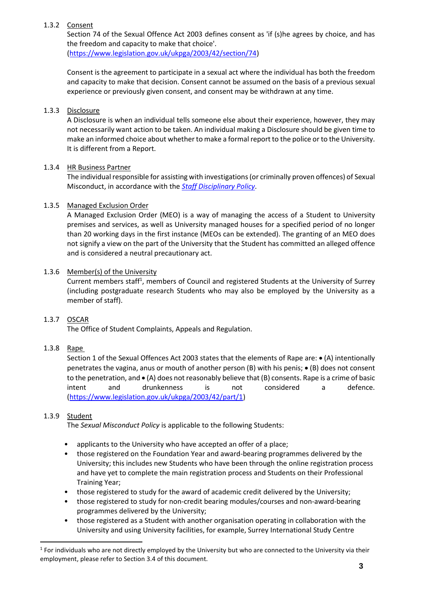# 1.3.2 Consent

Section 74 of the Sexual Offence Act 2003 defines consent as 'if (s)he agrees by choice, and has the freedom and capacity to make that choice'. [\(https://www.legislation.gov.uk/ukpga/2003/42/section/74\)](https://www.legislation.gov.uk/ukpga/2003/42/section/74)

Consent is the agreement to participate in a sexual act where the individual has both the freedom and capacity to make that decision. Consent cannot be assumed on the basis of a previous sexual experience or previously given consent, and consent may be withdrawn at any time.

# 1.3.3 Disclosure

A Disclosure is when an individual tells someone else about their experience, however, they may not necessarily want action to be taken. An individual making a Disclosure should be given time to make an informed choice about whether to make a formal report to the police or to the University. It is different from a Report.

# 1.3.4 HR Business Partner

The individual responsible for assisting with investigations (or criminally proven offences) of Sexual Misconduct, in accordance with the *[Staff Disciplinary Policy](https://surreynet.surrey.ac.uk/hr-policies-and-forms)*.

# 1.3.5 Managed Exclusion Order

A Managed Exclusion Order (MEO) is a way of managing the access of a Student to University premises and services, as well as University managed houses for a specified period of no longer than 20 working days in the first instance (MEOs can be extended). The granting of an MEO does not signify a view on the part of the University that the Student has committed an alleged offence and is considered a neutral precautionary act.

#### 1.3.6 Member(s) of the University

Current members staff<sup>1</sup>, members of Council and registered Students at the University of Surrey (including postgraduate research Students who may also be employed by the University as a member of staff).

# 1.3.7 OSCAR

The Office of Student Complaints, Appeals and Regulation.

# 1.3.8 Rape

Section 1 of the Sexual Offences Act 2003 states that the elements of Rape are: • (A) intentionally penetrates the vagina, anus or mouth of another person (B) with his penis; • (B) does not consent to the penetration, and • (A) does not reasonably believe that (B) consents. Rape is a crime of basic intent and drunkenness is not considered a defence. [\(https://www.legislation.gov.uk/ukpga/2003/42/part/1\)](https://www.legislation.gov.uk/ukpga/2003/42/part/1)

### 1.3.9 Student

The *Sexual Misconduct Policy* is applicable to the following Students:

- applicants to the University who have accepted an offer of a place;
- those registered on the Foundation Year and award-bearing programmes delivered by the University; this includes new Students who have been through the online registration process and have yet to complete the main registration process and Students on their Professional Training Year;
- those registered to study for the award of academic credit delivered by the University;
- those registered to study for non-credit bearing modules/courses and non-award-bearing programmes delivered by the University;
- those registered as a Student with another organisation operating in collaboration with the University and using University facilities, for example, Surrey International Study Centre

 $1$  For individuals who are not directly employed by the University but who are connected to the University via their employment, please refer to Section 3.4 of this document.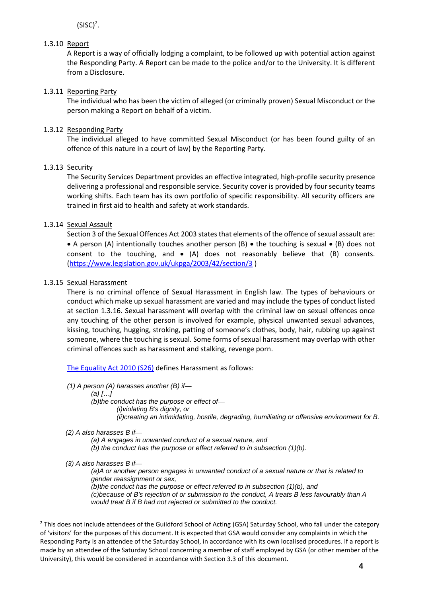$(SISC)^2$ .

# 1.3.10 Report

A Report is a way of officially lodging a complaint, to be followed up with potential action against the Responding Party. A Report can be made to the police and/or to the University. It is different from a Disclosure.

# 1.3.11 Reporting Party

The individual who has been the victim of alleged (or criminally proven) Sexual Misconduct or the person making a Report on behalf of a victim.

# 1.3.12 Responding Party

The individual alleged to have committed Sexual Misconduct (or has been found guilty of an offence of this nature in a court of law) by the Reporting Party.

# 1.3.13 Security

The Security Services Department provides an effective integrated, high-profile security presence delivering a professional and responsible service. Security cover is provided by four security teams working shifts. Each team has its own portfolio of specific responsibility. All security officers are trained in first aid to health and safety at work standards.

# 1.3.14 Sexual Assault

Section 3 of the Sexual Offences Act 2003 states that elements of the offence of sexual assault are: • A person (A) intentionally touches another person (B) • the touching is sexual • (B) does not consent to the touching, and  $\bullet$  (A) does not reasonably believe that (B) consents. [\(https://www.legislation.gov.uk/ukpga/2003/42/section/3](https://www.legislation.gov.uk/ukpga/2003/42/section/3) )

# 1.3.15 Sexual Harassment

There is no criminal offence of Sexual Harassment in English law. The types of behaviours or conduct which make up sexual harassment are varied and may include the types of conduct listed at section 1.3.16. Sexual harassment will overlap with the criminal law on sexual offences once any touching of the other person is involved for example, physical unwanted sexual advances, kissing, touching, hugging, stroking, patting of someone's clothes, body, hair, rubbing up against someone, where the touching is sexual. Some forms of sexual harassment may overlap with other criminal offences such as harassment and stalking, revenge porn.

[The Equality Act 2010 \(S26\)](https://www.legislation.gov.uk/ukpga/2010/15/section/26) defines Harassment as follows:

*(1) A person (A) harasses another (B) if—*

*(a) […]*

*(b)the conduct has the purpose or effect of— (i)violating B's dignity, or (ii)creating an intimidating, hostile, degrading, humiliating or offensive environment for B.*

# *(2) A also harasses B if—*

*(a) A engages in unwanted conduct of a sexual nature, and (b) the conduct has the purpose or effect referred to in subsection (1)(b).*

*(3) A also harasses B if—*

*(a)A or another person engages in unwanted conduct of a sexual nature or that is related to gender reassignment or sex, (b)the conduct has the purpose or effect referred to in subsection (1)(b), and*

*(c)because of B's rejection of or submission to the conduct, A treats B less favourably than A would treat B if B had not rejected or submitted to the conduct.*

<sup>&</sup>lt;sup>2</sup> This does not include attendees of the Guildford School of Acting (GSA) Saturday School, who fall under the category of 'visitors' for the purposes of this document. It is expected that GSA would consider any complaints in which the Responding Party is an attendee of the Saturday School, in accordance with its own localised procedures. If a report is made by an attendee of the Saturday School concerning a member of staff employed by GSA (or other member of the University), this would be considered in accordance with Section 3.3 of this document.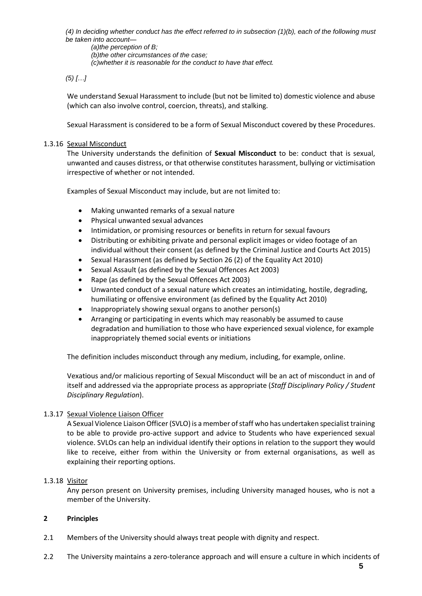*(4) In deciding whether conduct has the effect referred to in subsection (1)(b), each of the following must be taken into account—*

*(a)the perception of B; (b)the other circumstances of the case; (c)whether it is reasonable for the conduct to have that effect.*

# *(5) […]*

We understand Sexual Harassment to include (but not be limited to) domestic violence and abuse (which can also involve control, coercion, threats), and stalking.

Sexual Harassment is considered to be a form of Sexual Misconduct covered by these Procedures.

#### 1.3.16 Sexual Misconduct

The University understands the definition of **Sexual Misconduct** to be: conduct that is sexual, unwanted and causes distress, or that otherwise constitutes harassment, bullying or victimisation irrespective of whether or not intended.

Examples of Sexual Misconduct may include, but are not limited to:

- Making unwanted remarks of a sexual nature
- Physical unwanted sexual advances
- Intimidation, or promising resources or benefits in return for sexual favours
- Distributing or exhibiting private and personal explicit images or video footage of an individual without their consent (as defined by the Criminal Justice and Courts Act 2015)
- Sexual Harassment (as defined by Section 26 (2) of the Equality Act 2010)
- Sexual Assault (as defined by the Sexual Offences Act 2003)
- Rape (as defined by the Sexual Offences Act 2003)
- Unwanted conduct of a sexual nature which creates an intimidating, hostile, degrading, humiliating or offensive environment (as defined by the Equality Act 2010)
- Inappropriately showing sexual organs to another person(s)
- Arranging or participating in events which may reasonably be assumed to cause degradation and humiliation to those who have experienced sexual violence, for example inappropriately themed social events or initiations

The definition includes misconduct through any medium, including, for example, online.

Vexatious and/or malicious reporting of Sexual Misconduct will be an act of misconduct in and of itself and addressed via the appropriate process as appropriate (*Staff Disciplinary Policy / Student Disciplinary Regulation*).

#### 1.3.17 Sexual Violence Liaison Officer

A Sexual Violence Liaison Officer (SVLO) is a member of staff who has undertaken specialist training to be able to provide pro-active support and advice to Students who have experienced sexual violence. SVLOs can help an individual identify their options in relation to the support they would like to receive, either from within the University or from external organisations, as well as explaining their reporting options.

#### 1.3.18 Visitor

Any person present on University premises, including University managed houses, who is not a member of the University.

#### **2 Principles**

- 2.1 Members of the University should always treat people with dignity and respect.
- 2.2 The University maintains a zero-tolerance approach and will ensure a culture in which incidents of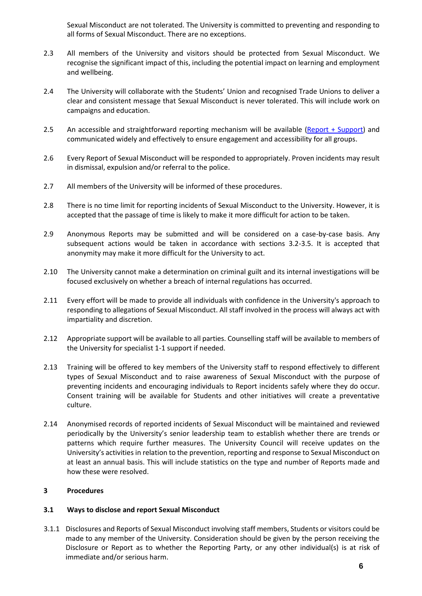Sexual Misconduct are not tolerated. The University is committed to preventing and responding to all forms of Sexual Misconduct. There are no exceptions.

- 2.3 All members of the University and visitors should be protected from Sexual Misconduct. We recognise the significant impact of this, including the potential impact on learning and employment and wellbeing.
- 2.4 The University will collaborate with the Students' Union and recognised Trade Unions to deliver a clear and consistent message that Sexual Misconduct is never tolerated. This will include work on campaigns and education.
- 2.5 An accessible and straightforward reporting mechanism will be available [\(Report + Support\)](https://reportandsupport.surrey.ac.uk/) and communicated widely and effectively to ensure engagement and accessibility for all groups.
- 2.6 Every Report of Sexual Misconduct will be responded to appropriately. Proven incidents may result in dismissal, expulsion and/or referral to the police.
- 2.7 All members of the University will be informed of these procedures.
- 2.8 There is no time limit for reporting incidents of Sexual Misconduct to the University. However, it is accepted that the passage of time is likely to make it more difficult for action to be taken.
- 2.9 Anonymous Reports may be submitted and will be considered on a case-by-case basis. Any subsequent actions would be taken in accordance with sections 3.2-3.5. It is accepted that anonymity may make it more difficult for the University to act.
- 2.10 The University cannot make a determination on criminal guilt and its internal investigations will be focused exclusively on whether a breach of internal regulations has occurred.
- 2.11 Every effort will be made to provide all individuals with confidence in the University's approach to responding to allegations of Sexual Misconduct. All staff involved in the process will always act with impartiality and discretion.
- 2.12 Appropriate support will be available to all parties. Counselling staff will be available to members of the University for specialist 1-1 support if needed.
- 2.13 Training will be offered to key members of the University staff to respond effectively to different types of Sexual Misconduct and to raise awareness of Sexual Misconduct with the purpose of preventing incidents and encouraging individuals to Report incidents safely where they do occur. Consent training will be available for Students and other initiatives will create a preventative culture.
- 2.14 Anonymised records of reported incidents of Sexual Misconduct will be maintained and reviewed periodically by the University's senior leadership team to establish whether there are trends or patterns which require further measures. The University Council will receive updates on the University's activities in relation to the prevention, reporting and response to Sexual Misconduct on at least an annual basis. This will include statistics on the type and number of Reports made and how these were resolved.

# **3 Procedures**

#### **3.1 Ways to disclose and report Sexual Misconduct**

3.1.1 Disclosures and Reports of Sexual Misconduct involving staff members, Students or visitors could be made to any member of the University. Consideration should be given by the person receiving the Disclosure or Report as to whether the Reporting Party, or any other individual(s) is at risk of immediate and/or serious harm.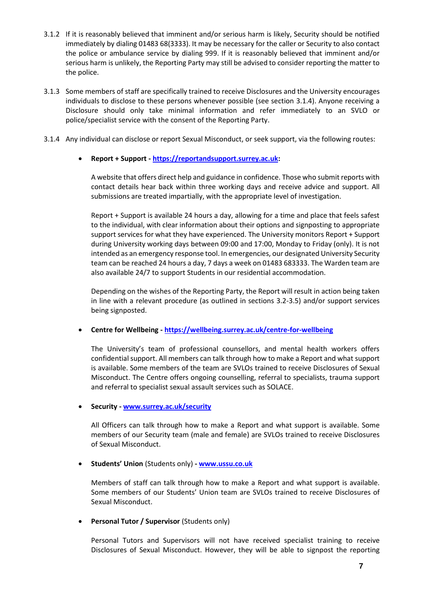- 3.1.2 If it is reasonably believed that imminent and/or serious harm is likely, Security should be notified immediately by dialing 01483 68(3333). It may be necessary for the caller or Security to also contact the police or ambulance service by dialing 999. If it is reasonably believed that imminent and/or serious harm is unlikely, the Reporting Party may still be advised to consider reporting the matter to the police.
- 3.1.3 Some members of staff are specifically trained to receive Disclosures and the University encourages individuals to disclose to these persons whenever possible (see section 3.1.4). Anyone receiving a Disclosure should only take minimal information and refer immediately to an SVLO or police/specialist service with the consent of the Reporting Party.
- 3.1.4 Any individual can disclose or report Sexual Misconduct, or seek support, via the following routes:

#### • **Report + Support - [https://reportandsupport.surrey.ac.uk:](https://reportandsupport.surrey.ac.uk/)**

A website that offers direct help and guidance in confidence. Those who submit reports with contact details hear back within three working days and receive advice and support. All submissions are treated impartially, with the appropriate level of investigation.

Report + Support is available 24 hours a day, allowing for a time and place that feels safest to the individual, with clear information about their options and signposting to appropriate support services for what they have experienced. The University monitors Report + Support during University working days between 09:00 and 17:00, Monday to Friday (only). It is not intended as an emergency response tool. In emergencies, our designated University Security team can be reached 24 hours a day, 7 days a week on 01483 683333. The Warden team are also available 24/7 to support Students in our residential accommodation.

Depending on the wishes of the Reporting Party, the Report will result in action being taken in line with a relevant procedure (as outlined in sections 3.2-3.5) and/or support services being signposted.

#### • **Centre for Wellbeing - <https://wellbeing.surrey.ac.uk/centre-for-wellbeing>**

The University's team of professional counsellors, and mental health workers offers confidential support. All members can talk through how to make a Report and what support is available. Some members of the team are SVLOs trained to receive Disclosures of Sexual Misconduct. The Centre offers ongoing counselling, referral to specialists, trauma support and referral to specialist sexual assault services such as SOLACE.

#### • **Security - [www.surrey.ac.uk/security](http://www.surrey.ac.uk/security)**

All Officers can talk through how to make a Report and what support is available. Some members of our Security team (male and female) are SVLOs trained to receive Disclosures of Sexual Misconduct.

• **Students' Union** (Students only) **- [www.ussu.co.uk](http://www.ussu.co.uk/)**

Members of staff can talk through how to make a Report and what support is available. Some members of our Students' Union team are SVLOs trained to receive Disclosures of Sexual Misconduct.

• **Personal Tutor / Supervisor** (Students only)

Personal Tutors and Supervisors will not have received specialist training to receive Disclosures of Sexual Misconduct. However, they will be able to signpost the reporting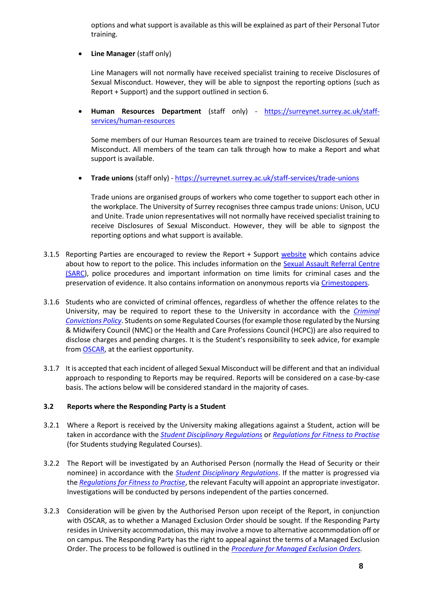options and what support is available as this will be explained as part of their Personal Tutor training.

**Line Manager** (staff only)

Line Managers will not normally have received specialist training to receive Disclosures of Sexual Misconduct. However, they will be able to signpost the reporting options (such as Report + Support) and the support outlined in section 6.

• **Human Resources Department** (staff only) - [https://surreynet.surrey.ac.uk/staff](https://surreynet.surrey.ac.uk/staff-services/human-resources)[services/human-resources](https://surreynet.surrey.ac.uk/staff-services/human-resources)

Some members of our Human Resources team are trained to receive Disclosures of Sexual Misconduct. All members of the team can talk through how to make a Report and what support is available.

• **Trade unions** (staff only) - <https://surreynet.surrey.ac.uk/staff-services/trade-unions>

Trade unions are organised groups of workers who come together to support each other in the workplace. The University of Surrey recognises three campus trade unions: Unison, UCU and Unite. Trade union representatives will not normally have received specialist training to receive Disclosures of Sexual Misconduct. However, they will be able to signpost the reporting options and what support is available.

- 3.1.5 Reporting Parties are encouraged to review the Report + Support [website](https://reportandsupport.surrey.ac.uk/support/i-think-ive-been-sexually-assaulted) which contains advice about how to report to the police. This includes information on the Sexual Assault Referral Centre [\(SARC\)](https://www.surreysolace.org/), police procedures and important information on time limits for criminal cases and the preservation of evidence. It also contains information on anonymous reports vi[a Crimestoppers.](https://crimestoppers-uk.org/give-information/forms/give-information-anonymously)
- 3.1.6 Students who are convicted of criminal offences, regardless of whether the offence relates to the University, may be required to report these to the University in accordance with the *[Criminal](https://www.surrey.ac.uk/office-student-complaints-appeals-and-regulation/declaration-criminal-convictions)  [Convictions Policy](https://www.surrey.ac.uk/office-student-complaints-appeals-and-regulation/declaration-criminal-convictions)*. Students on some Regulated Courses (for example those regulated by the Nursing & Midwifery Council (NMC) or the Health and Care Professions Council (HCPC)) are also required to disclose charges and pending charges. It is the Student's responsibility to seek advice, for example from [OSCAR,](https://www.surrey.ac.uk/office-student-complaints-appeals-and-regulation) at the earliest opportunity.
- 3.1.7 It is accepted that each incident of alleged Sexual Misconduct will be different and that an individual approach to responding to Reports may be required. Reports will be considered on a case-by-case basis. The actions below will be considered standard in the majority of cases.

# **3.2 Reports where the Responding Party is a Student**

- 3.2.1 Where a Report is received by the University making allegations against a Student, action will be taken in accordance with the *[Student Disciplinary Regulations](https://www.surrey.ac.uk/quality-framework/academic-and-student-regulations)* or *[Regulations for Fitness to Practise](https://www.surrey.ac.uk/quality-framework/academic-and-student-regulations)* (for Students studying Regulated Courses).
- 3.2.2 The Report will be investigated by an Authorised Person (normally the Head of Security or their nominee) in accordance with the *[Student Disciplinary Regulations](https://www.surrey.ac.uk/quality-framework/academic-and-student-regulations)*. If the matter is progressed via the *[Regulations for Fitness to Practise](https://www.surrey.ac.uk/quality-framework/academic-and-student-regulations)*, the relevant Faculty will appoint an appropriate investigator. Investigations will be conducted by persons independent of the parties concerned.
- 3.2.3 Consideration will be given by the Authorised Person upon receipt of the Report, in conjunction with OSCAR, as to whether a Managed Exclusion Order should be sought. If the Responding Party resides in University accommodation, this may involve a move to alternative accommodation off or on campus. The Responding Party has the right to appeal against the terms of a Managed Exclusion Order. The process to be followed is outlined in the *[Procedure for Managed Exclusion Orders.](https://www.surrey.ac.uk/office-student-complaints-appeals-and-regulation/managed-exclusion-orders)*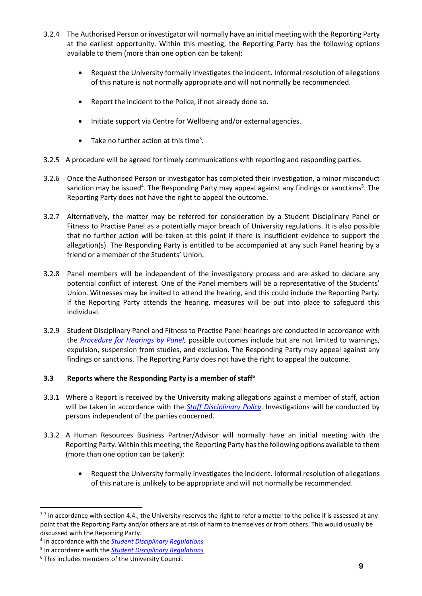- 3.2.4 The Authorised Person or investigator will normally have an initial meeting with the Reporting Party at the earliest opportunity. Within this meeting, the Reporting Party has the following options available to them (more than one option can be taken):
	- Request the University formally investigates the incident. Informal resolution of allegations of this nature is not normally appropriate and will not normally be recommended.
	- Report the incident to the Police, if not already done so.
	- Initiate support via Centre for Wellbeing and/or external agencies.
	- Take no further action at this time<sup>3</sup>.
- 3.2.5 A procedure will be agreed for timely communications with reporting and responding parties.
- 3.2.6 Once the Authorised Person or investigator has completed their investigation, a minor misconduct sanction may be issued<sup>4</sup>. The Responding Party may appeal against any findings or sanctions<sup>5</sup>. The Reporting Party does not have the right to appeal the outcome.
- 3.2.7 Alternatively, the matter may be referred for consideration by a Student Disciplinary Panel or Fitness to Practise Panel as a potentially major breach of University regulations. It is also possible that no further action will be taken at this point if there is insufficient evidence to support the allegation(s). The Responding Party is entitled to be accompanied at any such Panel hearing by a friend or a member of the Students' Union.
- 3.2.8 Panel members will be independent of the investigatory process and are asked to declare any potential conflict of interest. One of the Panel members will be a representative of the Students' Union. Witnesses may be invited to attend the hearing, and this could include the Reporting Party. If the Reporting Party attends the hearing, measures will be put into place to safeguard this individual.
- 3.2.9 Student Disciplinary Panel and Fitness to Practise Panel hearings are conducted in accordance with the *[Procedure for Hearings by Panel,](https://www.surrey.ac.uk/quality-framework)* possible outcomes include but are not limited to warnings, expulsion, suspension from studies, and exclusion. The Responding Party may appeal against any findings or sanctions. The Reporting Party does not have the right to appeal the outcome.

# **3.3 Reports where the Responding Party is a member of staff<sup>6</sup>**

- 3.3.1 Where a Report is received by the University making allegations against a member of staff, action will be taken in accordance with the *[Staff Disciplinary Policy](https://surreynet.surrey.ac.uk/hr-policies-and-forms)*. Investigations will be conducted by persons independent of the parties concerned.
- 3.3.2 A Human Resources Business Partner/Advisor will normally have an initial meeting with the Reporting Party. Within this meeting, the Reporting Party has the following options available to them (more than one option can be taken):
	- Request the University formally investigates the incident. Informal resolution of allegations of this nature is unlikely to be appropriate and will not normally be recommended.

<sup>&</sup>lt;sup>33</sup> In accordance with section 4.4., the University reserves the right to refer a matter to the police if is assessed at any point that the Reporting Party and/or others are at risk of harm to themselves or from others. This would usually be discussed with the Reporting Party.

<sup>4</sup> In accordance with the *[Student Disciplinary Regulations](https://www.surrey.ac.uk/quality-framework/academic-and-student-regulations)*

<sup>5</sup> In accordance with the *[Student Disciplinary Regulations](https://www.surrey.ac.uk/quality-framework/academic-and-student-regulations)*

<sup>6</sup> This includes members of the University Council.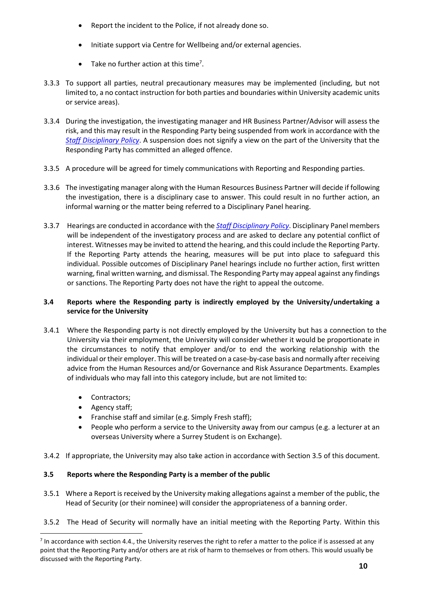- Report the incident to the Police, if not already done so.
- Initiate support via Centre for Wellbeing and/or external agencies.
- Take no further action at this time<sup>7</sup>.
- 3.3.3 To support all parties, neutral precautionary measures may be implemented (including, but not limited to, a no contact instruction for both parties and boundaries within University academic units or service areas).
- 3.3.4 During the investigation, the investigating manager and HR Business Partner/Advisor will assess the risk, and this may result in the Responding Party being suspended from work in accordance with the *[Staff Disciplinary Policy](https://surreynet.surrey.ac.uk/hr-policies-and-forms)*. A suspension does not signify a view on the part of the University that the Responding Party has committed an alleged offence.
- 3.3.5 A procedure will be agreed for timely communications with Reporting and Responding parties.
- 3.3.6 The investigating manager along with the Human Resources Business Partner will decide if following the investigation, there is a disciplinary case to answer. This could result in no further action, an informal warning or the matter being referred to a Disciplinary Panel hearing.
- 3.3.7 Hearings are conducted in accordance with the *[Staff Disciplinary Policy](https://surreynet.surrey.ac.uk/hr-policies-and-forms)*. Disciplinary Panel members will be independent of the investigatory process and are asked to declare any potential conflict of interest. Witnesses may be invited to attend the hearing, and this could include the Reporting Party. If the Reporting Party attends the hearing, measures will be put into place to safeguard this individual. Possible outcomes of Disciplinary Panel hearings include no further action, first written warning, final written warning, and dismissal. The Responding Party may appeal against any findings or sanctions. The Reporting Party does not have the right to appeal the outcome.

# **3.4 Reports where the Responding party is indirectly employed by the University/undertaking a service for the University**

- 3.4.1 Where the Responding party is not directly employed by the University but has a connection to the University via their employment, the University will consider whether it would be proportionate in the circumstances to notify that employer and/or to end the working relationship with the individual or their employer. This will be treated on a case-by-case basis and normally after receiving advice from the Human Resources and/or Governance and Risk Assurance Departments. Examples of individuals who may fall into this category include, but are not limited to:
	- Contractors;
	- Agency staff;
	- Franchise staff and similar (e.g. Simply Fresh staff);
	- People who perform a service to the University away from our campus (e.g. a lecturer at an overseas University where a Surrey Student is on Exchange).
- 3.4.2 If appropriate, the University may also take action in accordance with Section 3.5 of this document.

# **3.5 Reports where the Responding Party is a member of the public**

- 3.5.1 Where a Report is received by the University making allegations against a member of the public, the Head of Security (or their nominee) will consider the appropriateness of a banning order.
- 3.5.2 The Head of Security will normally have an initial meeting with the Reporting Party. Within this

 $<sup>7</sup>$  In accordance with section 4.4., the University reserves the right to refer a matter to the police if is assessed at any</sup> point that the Reporting Party and/or others are at risk of harm to themselves or from others. This would usually be discussed with the Reporting Party.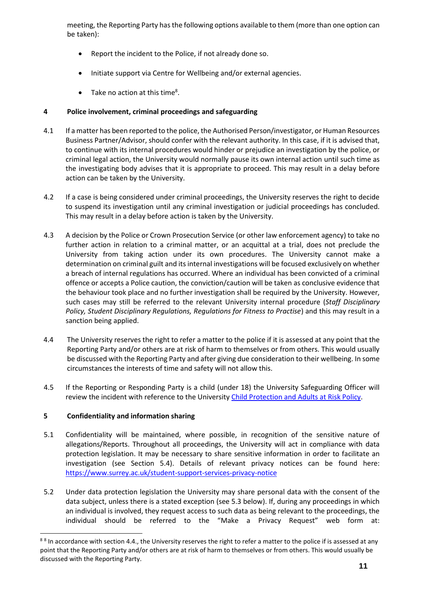meeting, the Reporting Party has the following options available to them (more than one option can be taken):

- Report the incident to the Police, if not already done so.
- Initiate support via Centre for Wellbeing and/or external agencies.
- Take no action at this time<sup>8</sup>.

# **4 Police involvement, criminal proceedings and safeguarding**

- 4.1 If a matter has been reported to the police, the Authorised Person/investigator, or Human Resources Business Partner/Advisor, should confer with the relevant authority. In this case, if it is advised that, to continue with its internal procedures would hinder or prejudice an investigation by the police, or criminal legal action, the University would normally pause its own internal action until such time as the investigating body advises that it is appropriate to proceed. This may result in a delay before action can be taken by the University.
- 4.2 If a case is being considered under criminal proceedings, the University reserves the right to decide to suspend its investigation until any criminal investigation or judicial proceedings has concluded. This may result in a delay before action is taken by the University.
- 4.3 A decision by the Police or Crown Prosecution Service (or other law enforcement agency) to take no further action in relation to a criminal matter, or an acquittal at a trial, does not preclude the University from taking action under its own procedures. The University cannot make a determination on criminal guilt and its internal investigations will be focused exclusively on whether a breach of internal regulations has occurred. Where an individual has been convicted of a criminal offence or accepts a Police caution, the conviction/caution will be taken as conclusive evidence that the behaviour took place and no further investigation shall be required by the University. However, such cases may still be referred to the relevant University internal procedure (*Staff Disciplinary Policy, Student Disciplinary Regulations, Regulations for Fitness to Practise*) and this may result in a sanction being applied.
- 4.4 The University reserves the right to refer a matter to the police if it is assessed at any point that the Reporting Party and/or others are at risk of harm to themselves or from others. This would usually be discussed with the Reporting Party and after giving due consideration to their wellbeing. In some circumstances the interests of time and safety will not allow this.
- 4.5 If the Reporting or Responding Party is a child (under 18) the University Safeguarding Officer will review the incident with reference to the Universit[y Child Protection and Adults at Risk Policy.](https://www.surrey.ac.uk/about/policies/safeguarding)

# **5 Confidentiality and information sharing**

- 5.1 Confidentiality will be maintained, where possible, in recognition of the sensitive nature of allegations/Reports. Throughout all proceedings, the University will act in compliance with data protection legislation. It may be necessary to share sensitive information in order to facilitate an investigation (see Section 5.4). Details of relevant privacy notices can be found here: <https://www.surrey.ac.uk/student-support-services-privacy-notice>
- 5.2 Under data protection legislation the University may share personal data with the consent of the data subject, unless there is a stated exception (see 5.3 below). If, during any proceedings in which an individual is involved, they request access to such data as being relevant to the proceedings, the individual should be referred to the "Make a Privacy Request" web form at:

<sup>&</sup>lt;sup>88</sup> In accordance with section 4.4., the University reserves the right to refer a matter to the police if is assessed at any point that the Reporting Party and/or others are at risk of harm to themselves or from others. This would usually be discussed with the Reporting Party.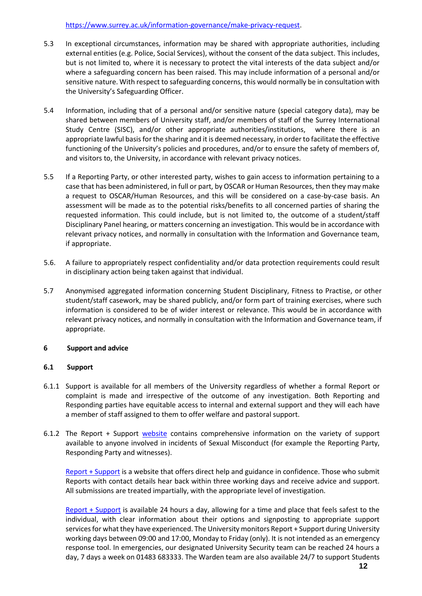#### [https://www.surrey.ac.uk/information-governance/make-privacy-request.](https://www.surrey.ac.uk/information-governance/make-privacy-request)

- 5.3 In exceptional circumstances, information may be shared with appropriate authorities, including external entities (e.g. Police, Social Services), without the consent of the data subject. This includes, but is not limited to, where it is necessary to protect the vital interests of the data subject and/or where a safeguarding concern has been raised. This may include information of a personal and/or sensitive nature. With respect to safeguarding concerns, this would normally be in consultation with the University's Safeguarding Officer.
- 5.4 Information, including that of a personal and/or sensitive nature (special category data), may be shared between members of University staff, and/or members of staff of the Surrey International Study Centre (SISC), and/or other appropriate authorities/institutions, where there is an appropriate lawful basis for the sharing and it is deemed necessary, in order to facilitate the effective functioning of the University's policies and procedures, and/or to ensure the safety of members of, and visitors to, the University, in accordance with relevant privacy notices.
- 5.5 If a Reporting Party, or other interested party, wishes to gain access to information pertaining to a case that has been administered, in full or part, by OSCAR or Human Resources, then they may make a request to OSCAR/Human Resources, and this will be considered on a case-by-case basis. An assessment will be made as to the potential risks/benefits to all concerned parties of sharing the requested information. This could include, but is not limited to, the outcome of a student/staff Disciplinary Panel hearing, or matters concerning an investigation. This would be in accordance with relevant privacy notices, and normally in consultation with the Information and Governance team, if appropriate.
- 5.6. A failure to appropriately respect confidentiality and/or data protection requirements could result in disciplinary action being taken against that individual.
- 5.7 Anonymised aggregated information concerning Student Disciplinary, Fitness to Practise, or other student/staff casework, may be shared publicly, and/or form part of training exercises, where such information is considered to be of wider interest or relevance. This would be in accordance with relevant privacy notices, and normally in consultation with the Information and Governance team, if appropriate.

# **6 Support and advice**

#### **6.1 Support**

- 6.1.1 Support is available for all members of the University regardless of whether a formal Report or complaint is made and irrespective of the outcome of any investigation. Both Reporting and Responding parties have equitable access to internal and external support and they will each have a member of staff assigned to them to offer welfare and pastoral support.
- 6.1.2 The Report + Support [website](https://reportandsupport.surrey.ac.uk/support/what-support-is-available-if-ive-been-sexually-assaulted) contains comprehensive information on the variety of support available to anyone involved in incidents of Sexual Misconduct (for example the Reporting Party, Responding Party and witnesses).

[Report + Support](https://reportandsupport.surrey.ac.uk/) is a website that offers direct help and guidance in confidence. Those who submit Reports with contact details hear back within three working days and receive advice and support. All submissions are treated impartially, with the appropriate level of investigation.

[Report + Support](https://reportandsupport.surrey.ac.uk/) is available 24 hours a day, allowing for a time and place that feels safest to the individual, with clear information about their options and signposting to appropriate support services for what they have experienced. The University monitors Report + Support during University working days between 09:00 and 17:00, Monday to Friday (only). It is not intended as an emergency response tool. In emergencies, our designated University Security team can be reached 24 hours a day, 7 days a week on 01483 683333. The Warden team are also available 24/7 to support Students